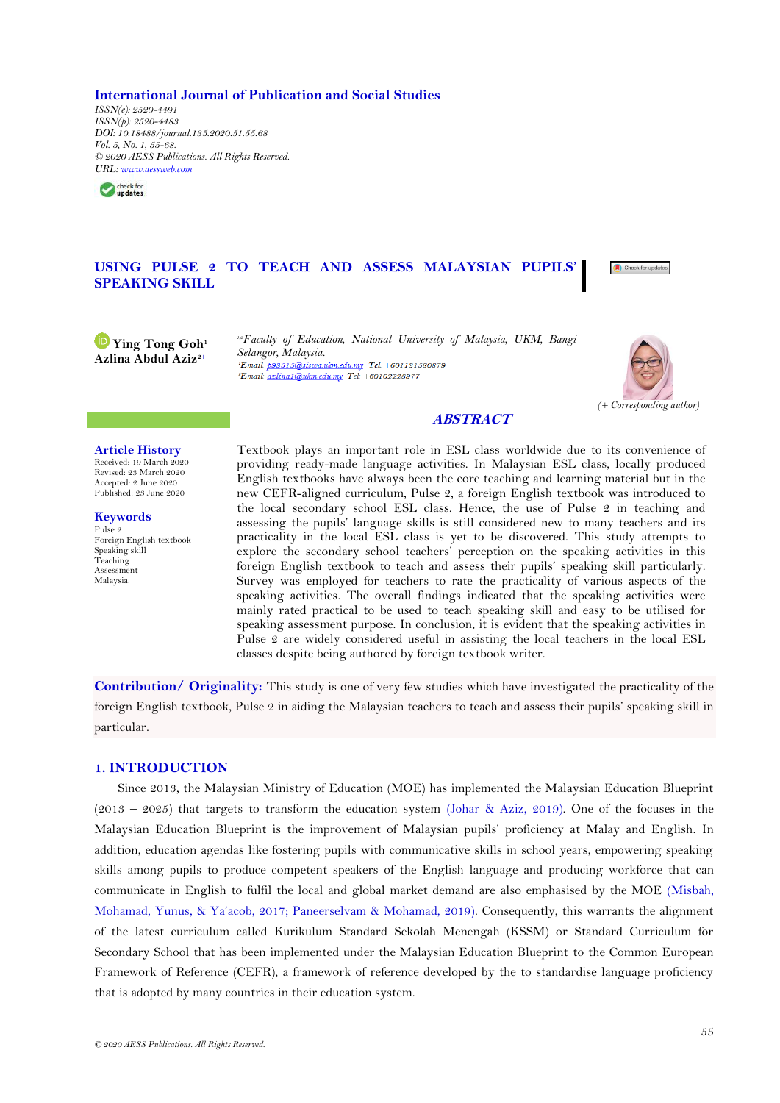**International Journal of Publication and Social Studies**

*ISSN(e): 2520-4491 ISSN(p): 2520-4483 DOI: 10.18488/journal.135.2020.51.55.68 Vol. 5, No. 1, 55-68. © 2020 AESS Publications. All Rights Reserved. URL: [www.aessweb.com](http://www.aessweb.com/)*



## USING PULSE 2 TO TEACH AND ASSESS MALAYSIAN PUPILS **SPEAKING SKILL**

**Ying Tong Goh<sup>1</sup> Azlina Abdul Aziz2+**

*1,2Faculty of Education, National University of Malaysia, UKM, Bangi Selangor, Malaysia.* Email: azlina1@ukm.edu.my Tel: +60102228977



# **ABSTRACT**

#### **Article History**

Received: 19 March 2020 Revised: 23 March 2020 Accepted: 2 June 2020 Published: 23 June 2020

**Keywords** Pulse 2 Foreign English textbook Speaking skill Teaching Assessment Malaysia.

Textbook plays an important role in ESL class worldwide due to its convenience of providing ready-made language activities. In Malaysian ESL class, locally produced English textbooks have always been the core teaching and learning material but in the new CEFR-aligned curriculum, Pulse 2, a foreign English textbook was introduced to the local secondary school ESL class. Hence, the use of Pulse 2 in teaching and assessing the pupils" language skills is still considered new to many teachers and its practicality in the local ESL class is yet to be discovered. This study attempts to explore the secondary school teachers" perception on the speaking activities in this foreign English textbook to teach and assess their pupils" speaking skill particularly. Survey was employed for teachers to rate the practicality of various aspects of the speaking activities. The overall findings indicated that the speaking activities were mainly rated practical to be used to teach speaking skill and easy to be utilised for speaking assessment purpose. In conclusion, it is evident that the speaking activities in Pulse 2 are widely considered useful in assisting the local teachers in the local ESL classes despite being authored by foreign textbook writer.

**Contribution/ Originality:** This study is one of very few studies which have investigated the practicality of the foreign English textbook, Pulse 2 in aiding the Malaysian teachers to teach and assess their pupils" speaking skill in particular.

## **1. INTRODUCTION**

Since 2013, the Malaysian Ministry of Education (MOE) has implemented the Malaysian Education Blueprint (2013 – 2025) that targets to transform the education system [\(Johar & Aziz, 2019\)](#page-9-0). One of the focuses in the Malaysian Education Blueprint is the improvement of Malaysian pupils" proficiency at Malay and English. In addition, education agendas like fostering pupils with communicative skills in school years, empowering speaking skills among pupils to produce competent speakers of the English language and producing workforce that can communicate in English to fulfil the local and global market demand are also emphasised by the MOE [\(Misbah,](#page-9-1)  [Mohamad, Yunus, & Ya"acob, 2017](#page-9-1); [Paneerselvam & Mohamad, 2019\)](#page-9-2). Consequently, this warrants the alignment of the latest curriculum called Kurikulum Standard Sekolah Menengah (KSSM) or Standard Curriculum for Secondary School that has been implemented under the Malaysian Education Blueprint to the Common European Framework of Reference (CEFR), a framework of reference developed by the to standardise language proficiency that is adopted by many countries in their education system.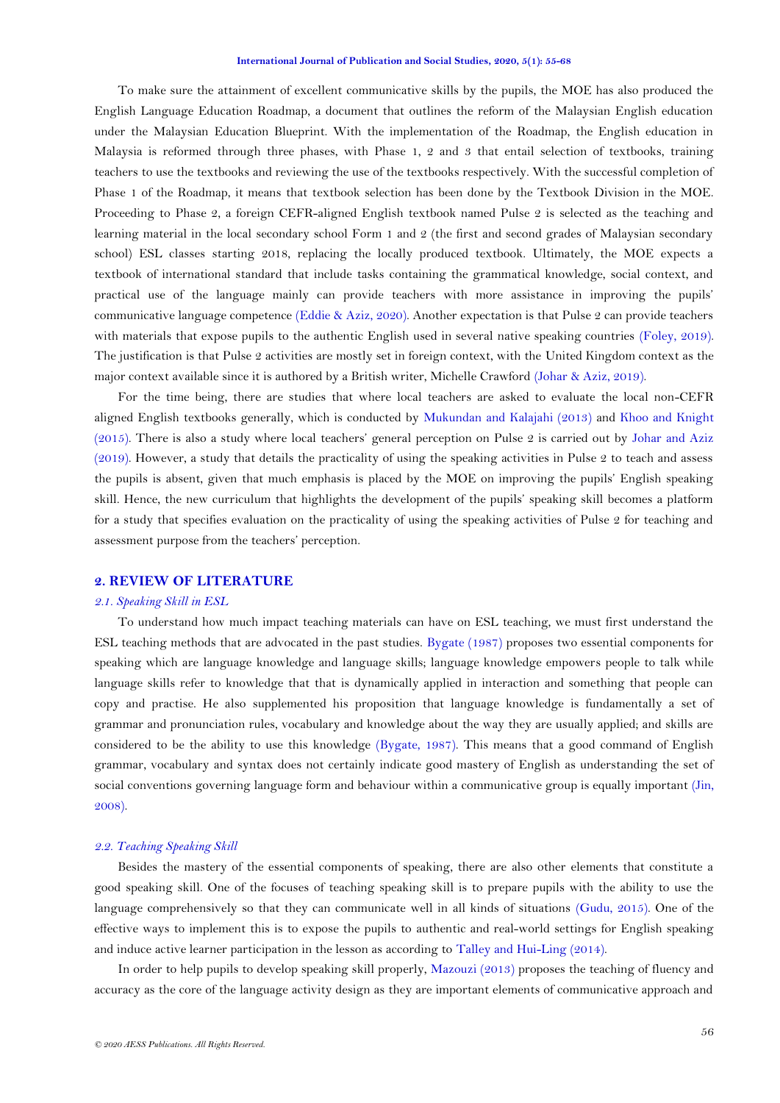To make sure the attainment of excellent communicative skills by the pupils, the MOE has also produced the English Language Education Roadmap, a document that outlines the reform of the Malaysian English education under the Malaysian Education Blueprint. With the implementation of the Roadmap, the English education in Malaysia is reformed through three phases, with Phase 1, 2 and 3 that entail selection of textbooks, training teachers to use the textbooks and reviewing the use of the textbooks respectively. With the successful completion of Phase 1 of the Roadmap, it means that textbook selection has been done by the Textbook Division in the MOE. Proceeding to Phase 2, a foreign CEFR-aligned English textbook named Pulse 2 is selected as the teaching and learning material in the local secondary school Form 1 and 2 (the first and second grades of Malaysian secondary school) ESL classes starting 2018, replacing the locally produced textbook. Ultimately, the MOE expects a textbook of international standard that include tasks containing the grammatical knowledge, social context, and practical use of the language mainly can provide teachers with more assistance in improving the pupils" communicative language competence [\(Eddie & Aziz, 2020\)](#page-9-3). Another expectation is that Pulse 2 can provide teachers with materials that expose pupils to the authentic English used in several native speaking countries [\(Foley, 2019\)](#page-9-4). The justification is that Pulse 2 activities are mostly set in foreign context, with the United Kingdom context as the major context available since it is authored by a British writer, Michelle Crawford [\(Johar & Aziz, 2019\)](#page-9-0).

For the time being, there are studies that where local teachers are asked to evaluate the local non-CEFR aligned English textbooks generally, which is conducted by [Mukundan and Kalajahi \(2013\)](#page-9-5) and [Khoo and Knight](#page-9-6)  [\(2015\)](#page-9-6). There is also a study where local teachers' general perception on Pulse 2 is carried out by Johar and Aziz [\(2019\)](#page-9-0). However, a study that details the practicality of using the speaking activities in Pulse 2 to teach and assess the pupils is absent, given that much emphasis is placed by the MOE on improving the pupils" English speaking skill. Hence, the new curriculum that highlights the development of the pupils" speaking skill becomes a platform for a study that specifies evaluation on the practicality of using the speaking activities of Pulse 2 for teaching and assessment purpose from the teachers' perception.

### **2. REVIEW OF LITERATURE**

### *2.1. Speaking Skill in ESL*

To understand how much impact teaching materials can have on ESL teaching, we must first understand the ESL teaching methods that are advocated in the past studies. [Bygate \(1987\)](#page-9-7) proposes two essential components for speaking which are language knowledge and language skills; language knowledge empowers people to talk while language skills refer to knowledge that that is dynamically applied in interaction and something that people can copy and practise. He also supplemented his proposition that language knowledge is fundamentally a set of grammar and pronunciation rules, vocabulary and knowledge about the way they are usually applied; and skills are considered to be the ability to use this knowledge [\(Bygate, 1987\)](#page-9-7). This means that a good command of English grammar, vocabulary and syntax does not certainly indicate good mastery of English as understanding the set of social conventions governing language form and behaviour within a communicative group is equally important [\(Jin,](#page-9-8)  [2008\)](#page-9-8).

#### *2.2. Teaching Speaking Skill*

Besides the mastery of the essential components of speaking, there are also other elements that constitute a good speaking skill. One of the focuses of teaching speaking skill is to prepare pupils with the ability to use the language comprehensively so that they can communicate well in all kinds of situations [\(Gudu, 2015\)](#page-9-9). One of the effective ways to implement this is to expose the pupils to authentic and real-world settings for English speaking and induce active learner participation in the lesson as according to [Talley and Hui-Ling \(2014\)](#page-9-10).

In order to help pupils to develop speaking skill properly, [Mazouzi \(2013\)](#page-9-11) proposes the teaching of fluency and accuracy as the core of the language activity design as they are important elements of communicative approach and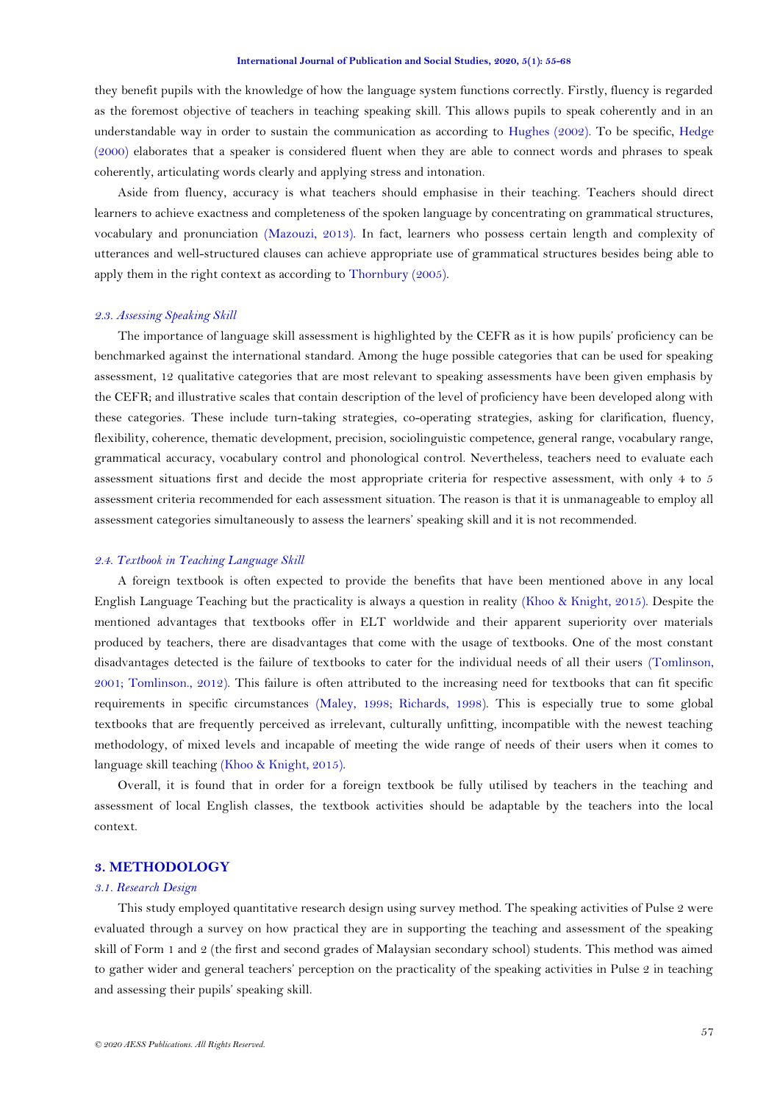they benefit pupils with the knowledge of how the language system functions correctly. Firstly, fluency is regarded as the foremost objective of teachers in teaching speaking skill. This allows pupils to speak coherently and in an understandable way in order to sustain the communication as according to [Hughes \(2002\)](#page-9-12). To be specific, [Hedge](#page-9-13)  [\(2000\)](#page-9-13) elaborates that a speaker is considered fluent when they are able to connect words and phrases to speak coherently, articulating words clearly and applying stress and intonation.

Aside from fluency, accuracy is what teachers should emphasise in their teaching. Teachers should direct learners to achieve exactness and completeness of the spoken language by concentrating on grammatical structures, vocabulary and pronunciation [\(Mazouzi, 2013\)](#page-9-11). In fact, learners who possess certain length and complexity of utterances and well-structured clauses can achieve appropriate use of grammatical structures besides being able to apply them in the right context as according to [Thornbury \(2005\)](#page-9-14).

#### *2.3. Assessing Speaking Skill*

The importance of language skill assessment is highlighted by the CEFR as it is how pupils" proficiency can be benchmarked against the international standard. Among the huge possible categories that can be used for speaking assessment, 12 qualitative categories that are most relevant to speaking assessments have been given emphasis by the CEFR; and illustrative scales that contain description of the level of proficiency have been developed along with these categories. These include turn-taking strategies, co-operating strategies, asking for clarification, fluency, flexibility, coherence, thematic development, precision, sociolinguistic competence, general range, vocabulary range, grammatical accuracy, vocabulary control and phonological control. Nevertheless, teachers need to evaluate each assessment situations first and decide the most appropriate criteria for respective assessment, with only 4 to 5 assessment criteria recommended for each assessment situation. The reason is that it is unmanageable to employ all assessment categories simultaneously to assess the learners" speaking skill and it is not recommended.

### *2.4. Textbook in Teaching Language Skill*

A foreign textbook is often expected to provide the benefits that have been mentioned above in any local English Language Teaching but the practicality is always a question in reality [\(Khoo & Knight, 2015\)](#page-9-6). Despite the mentioned advantages that textbooks offer in ELT worldwide and their apparent superiority over materials produced by teachers, there are disadvantages that come with the usage of textbooks. One of the most constant disadvantages detected is the failure of textbooks to cater for the individual needs of all their users [\(Tomlinson,](#page-9-15)  [2001;](#page-9-15) [Tomlinson., 2012\)](#page-9-16). This failure is often attributed to the increasing need for textbooks that can fit specific requirements in specific circumstances [\(Maley, 1998;](#page-9-17) [Richards, 1998\)](#page-9-18). This is especially true to some global textbooks that are frequently perceived as irrelevant, culturally unfitting, incompatible with the newest teaching methodology, of mixed levels and incapable of meeting the wide range of needs of their users when it comes to language skill teaching [\(Khoo & Knight, 2015\)](#page-9-6).

Overall, it is found that in order for a foreign textbook be fully utilised by teachers in the teaching and assessment of local English classes, the textbook activities should be adaptable by the teachers into the local context.

### **3. METHODOLOGY**

### *3.1. Research Design*

This study employed quantitative research design using survey method. The speaking activities of Pulse 2 were evaluated through a survey on how practical they are in supporting the teaching and assessment of the speaking skill of Form 1 and 2 (the first and second grades of Malaysian secondary school) students. This method was aimed to gather wider and general teachers" perception on the practicality of the speaking activities in Pulse 2 in teaching and assessing their pupils" speaking skill.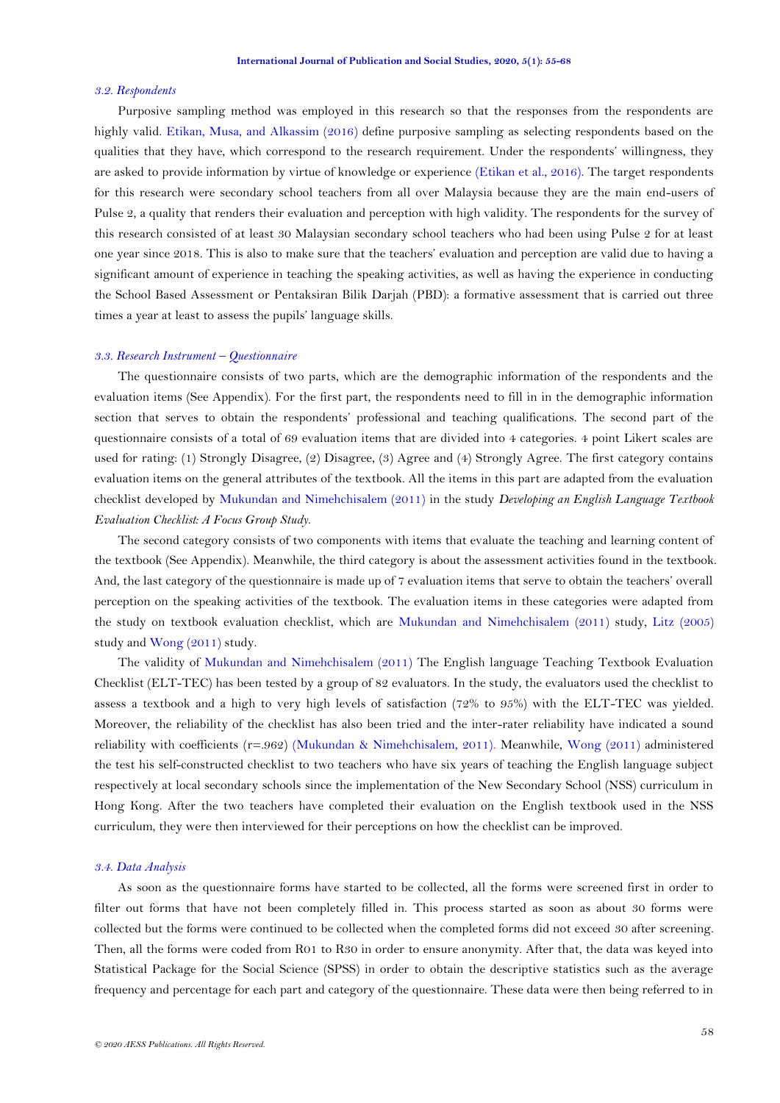#### *3.2. Respondents*

Purposive sampling method was employed in this research so that the responses from the respondents are highly valid. [Etikan, Musa, and Alkassim \(2016\)](#page-9-19) define purposive sampling as selecting respondents based on the qualities that they have, which correspond to the research requirement. Under the respondents" willingness, they are asked to provide information by virtue of knowledge or experience [\(Etikan et al., 2016\)](#page-9-19). The target respondents for this research were secondary school teachers from all over Malaysia because they are the main end-users of Pulse 2, a quality that renders their evaluation and perception with high validity. The respondents for the survey of this research consisted of at least 30 Malaysian secondary school teachers who had been using Pulse 2 for at least one year since 2018. This is also to make sure that the teachers" evaluation and perception are valid due to having a significant amount of experience in teaching the speaking activities, as well as having the experience in conducting the School Based Assessment or Pentaksiran Bilik Darjah (PBD): a formative assessment that is carried out three times a year at least to assess the pupils' language skills.

### *3.3. Research Instrument – Questionnaire*

The questionnaire consists of two parts, which are the demographic information of the respondents and the evaluation items (See Appendix). For the first part, the respondents need to fill in in the demographic information section that serves to obtain the respondents" professional and teaching qualifications. The second part of the questionnaire consists of a total of 69 evaluation items that are divided into 4 categories. 4 point Likert scales are used for rating: (1) Strongly Disagree, (2) Disagree, (3) Agree and (4) Strongly Agree. The first category contains evaluation items on the general attributes of the textbook. All the items in this part are adapted from the evaluation checklist developed by [Mukundan and Nimehchisalem \(2011\)](#page-9-20) in the study *Developing an English Language Textbook Evaluation Checklist: A Focus Group Study*.

The second category consists of two components with items that evaluate the teaching and learning content of the textbook (See Appendix). Meanwhile, the third category is about the assessment activities found in the textbook. And, the last category of the questionnaire is made up of 7 evaluation items that serve to obtain the teachers" overall perception on the speaking activities of the textbook. The evaluation items in these categories were adapted from the study on textbook evaluation checklist, which are [Mukundan and Nimehchisalem \(2011\)](#page-9-20) study, [Litz \(2005\)](#page-9-21) study and [Wong \(2011\)](#page-9-22) study.

The validity of [Mukundan and Nimehchisalem \(2011\)](#page-9-20) The English language Teaching Textbook Evaluation Checklist (ELT-TEC) has been tested by a group of 82 evaluators. In the study, the evaluators used the checklist to assess a textbook and a high to very high levels of satisfaction (72% to 95%) with the ELT-TEC was yielded. Moreover, the reliability of the checklist has also been tried and the inter-rater reliability have indicated a sound reliability with coefficients (r=.962) [\(Mukundan & Nimehchisalem, 2011\)](#page-9-20). Meanwhile, [Wong \(2011\)](#page-9-22) administered the test his self-constructed checklist to two teachers who have six years of teaching the English language subject respectively at local secondary schools since the implementation of the New Secondary School (NSS) curriculum in Hong Kong. After the two teachers have completed their evaluation on the English textbook used in the NSS curriculum, they were then interviewed for their perceptions on how the checklist can be improved.

### *3.4. Data Analysis*

As soon as the questionnaire forms have started to be collected, all the forms were screened first in order to filter out forms that have not been completely filled in. This process started as soon as about 30 forms were collected but the forms were continued to be collected when the completed forms did not exceed 30 after screening. Then, all the forms were coded from R01 to R30 in order to ensure anonymity. After that, the data was keyed into Statistical Package for the Social Science (SPSS) in order to obtain the descriptive statistics such as the average frequency and percentage for each part and category of the questionnaire. These data were then being referred to in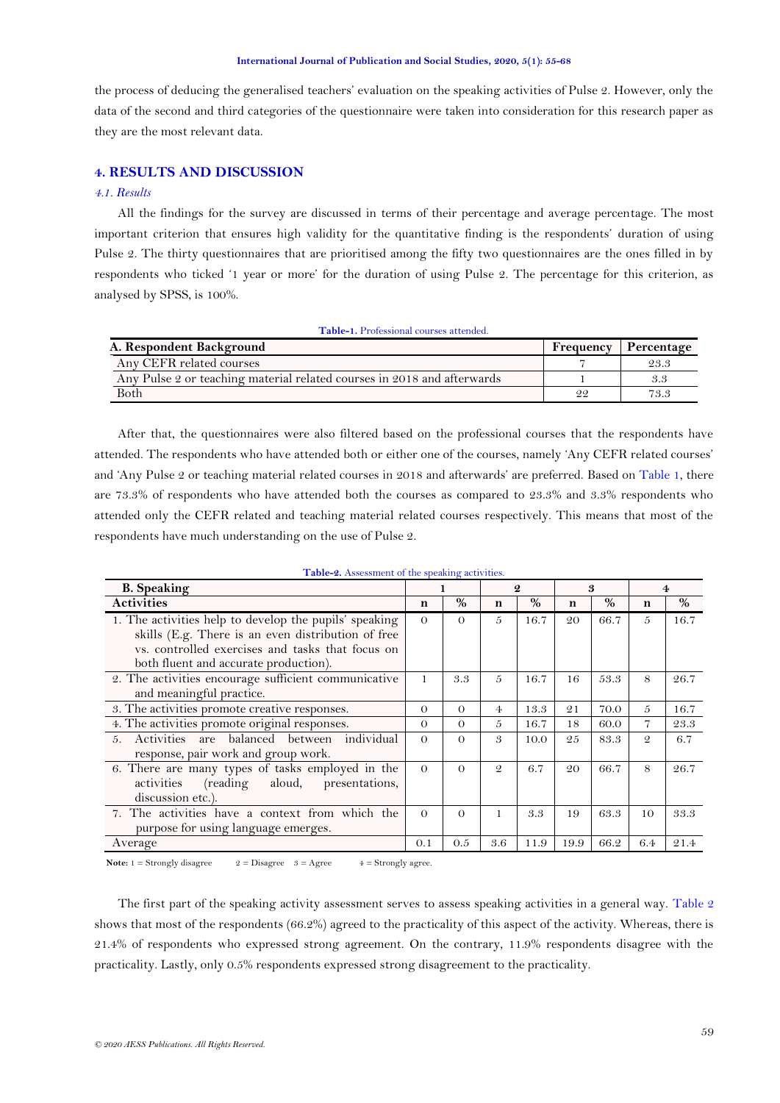the process of deducing the generalised teachers" evaluation on the speaking activities of Pulse 2. However, only the data of the second and third categories of the questionnaire were taken into consideration for this research paper as they are the most relevant data.

### **4. RESULTS AND DISCUSSION**

## *4.1. Results*

All the findings for the survey are discussed in terms of their percentage and average percentage. The most important criterion that ensures high validity for the quantitative finding is the respondents" duration of using Pulse 2. The thirty questionnaires that are prioritised among the fifty two questionnaires are the ones filled in by respondents who ticked '1 year or more' for the duration of using Pulse 2. The percentage for this criterion, as analysed by SPSS, is 100%.

<span id="page-4-0"></span>

| <b>Table-1.</b> Professional courses attended.                          |           |            |  |  |  |  |  |
|-------------------------------------------------------------------------|-----------|------------|--|--|--|--|--|
| A. Respondent Background                                                | Frequency | Percentage |  |  |  |  |  |
| Any CEFR related courses                                                |           | 23.3       |  |  |  |  |  |
| Any Pulse 2 or teaching material related courses in 2018 and afterwards |           | 3.3        |  |  |  |  |  |
| Both                                                                    | 22        | 73.3       |  |  |  |  |  |

After that, the questionnaires were also filtered based on the professional courses that the respondents have attended. The respondents who have attended both or either one of the courses, namely "Any CEFR related courses" and "Any Pulse 2 or teaching material related courses in 2018 and afterwards" are preferred. Based on [Table 1,](#page-4-0) there are 73.3% of respondents who have attended both the courses as compared to 23.3% and 3.3% respondents who attended only the CEFR related and teaching material related courses respectively. This means that most of the respondents have much understanding on the use of Pulse 2.

| Table-2. Assessment of the speaking activities. |  |  |
|-------------------------------------------------|--|--|
|-------------------------------------------------|--|--|

<span id="page-4-1"></span>

| <b>B.</b> Speaking                                        |          |          | $\boldsymbol{Q}$ |      | 3    |      |               | 4    |
|-----------------------------------------------------------|----------|----------|------------------|------|------|------|---------------|------|
| <b>Activities</b>                                         | n        | $\%$     | n                | $\%$ | n    | $\%$ | n             | $\%$ |
| 1. The activities help to develop the pupils' speaking    | $\Omega$ | $\Omega$ | 5                | 16.7 | 20   | 66.7 | $\tilde{D}$   | 16.7 |
| skills (E.g. There is an even distribution of free        |          |          |                  |      |      |      |               |      |
| vs. controlled exercises and tasks that focus on          |          |          |                  |      |      |      |               |      |
| both fluent and accurate production).                     |          |          |                  |      |      |      |               |      |
| 2. The activities encourage sufficient communicative      | 1        | 3.3      | 5                | 16.7 | 16   | 53.3 | 8             | 26.7 |
| and meaningful practice.                                  |          |          |                  |      |      |      |               |      |
| 3. The activities promote creative responses.             | $\Omega$ | $\Omega$ | 4                | 13.3 | 21   | 70.0 | 5             | 16.7 |
| 4. The activities promote original responses.             | $\Omega$ | $\Omega$ | 5                | 16.7 | 18   | 60.0 | 7             | 23.3 |
| individual<br>Activities<br>balanced between<br>5.<br>are | $\Omega$ | $\Omega$ | 3                | 10.0 | 25   | 83.3 | $\mathcal{Q}$ | 6.7  |
| response, pair work and group work.                       |          |          |                  |      |      |      |               |      |
| 6. There are many types of tasks employed in the          | $\Omega$ | $\Omega$ | $\mathcal{Q}$    | 6.7  | 20   | 66.7 | 8             | 26.7 |
| aloud, presentations,<br>(reading)<br>activities          |          |          |                  |      |      |      |               |      |
| discussion etc.).                                         |          |          |                  |      |      |      |               |      |
| 7. The activities have a context from which the           |          | $\Omega$ |                  | 3.3  | 19   | 63.3 | 10            | 33.3 |
| purpose for using language emerges.                       |          |          |                  |      |      |      |               |      |
| Average                                                   | 0.1      | 0.5      | 3.6              | 11.9 | 19.9 | 66.2 | 6.4           | 21.4 |

**Note:**  $1 =$  Strongly disagree  $2 =$  Disagree  $3 =$  Agree  $4 =$  Strongly agree.

The first part of the speaking activity assessment serves to assess speaking activities in a general way. [Table 2](#page-4-1) shows that most of the respondents (66.2%) agreed to the practicality of this aspect of the activity. Whereas, there is 21.4% of respondents who expressed strong agreement. On the contrary, 11.9% respondents disagree with the practicality. Lastly, only 0.5% respondents expressed strong disagreement to the practicality.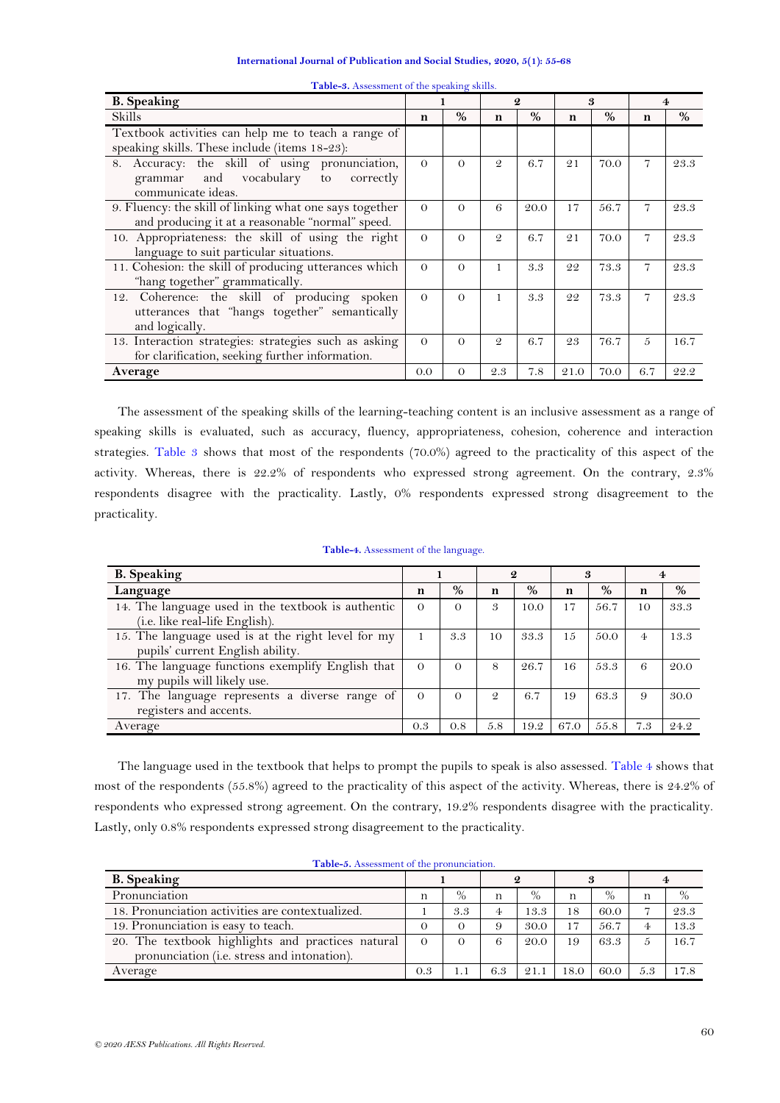| International Journal of Publication and Social Studies, 2020, 5(1): 55-68 |  |  |  |  |  |  |
|----------------------------------------------------------------------------|--|--|--|--|--|--|
|----------------------------------------------------------------------------|--|--|--|--|--|--|

<span id="page-5-0"></span>

| <b>B.</b> Speaking                                      |          |          | $\boldsymbol{Q}$ |      | 3    |      |                |      |
|---------------------------------------------------------|----------|----------|------------------|------|------|------|----------------|------|
| Skills                                                  | n        | $\%$     | n                | $\%$ | n    | $\%$ | n              | $\%$ |
| Textbook activities can help me to teach a range of     |          |          |                  |      |      |      |                |      |
| speaking skills. These include (items 18-23):           |          |          |                  |      |      |      |                |      |
| Accuracy: the skill of using pronunciation,<br>8.       | $\Omega$ | $\Omega$ | $\mathcal{Q}$    | 6.7  | 21   | 70.0 | $\overline{7}$ | 23.3 |
| and vocabulary<br>correctly<br>to<br>grammar            |          |          |                  |      |      |      |                |      |
| communicate ideas.                                      |          |          |                  |      |      |      |                |      |
| 9. Fluency: the skill of linking what one says together | $\Omega$ | $\Omega$ | 6                | 20.0 | 17   | 56.7 | $\overline{7}$ | 23.3 |
| and producing it at a reasonable "normal" speed.        |          |          |                  |      |      |      |                |      |
| 10. Appropriateness: the skill of using the right       | $\Omega$ | $\Omega$ | $\mathcal{Q}$    | 6.7  | 21   | 70.0 | 7              | 23.3 |
| language to suit particular situations.                 |          |          |                  |      |      |      |                |      |
| 11. Cohesion: the skill of producing utterances which   | $\Omega$ | $\Omega$ | 1                | 3.3  | 22   | 73.3 | 7              | 23.3 |
| "hang together" grammatically.                          |          |          |                  |      |      |      |                |      |
| 12. Coherence: the skill of producing spoken            | $\Omega$ | $\Omega$ | 1                | 3.3  | 22   | 73.3 | $\overline{7}$ | 23.3 |
| utterances that "hangs together" semantically           |          |          |                  |      |      |      |                |      |
| and logically.                                          |          |          |                  |      |      |      |                |      |
| 13. Interaction strategies: strategies such as asking   |          | $\Omega$ | $\mathcal{Q}$    | 6.7  | 23   | 76.7 | $\overline{5}$ | 16.7 |
| for clarification, seeking further information.         |          |          |                  |      |      |      |                |      |
| Average                                                 | 0.0      | $\Omega$ | 2.3              | 7.8  | 21.0 | 70.0 | 6.7            | 22.2 |

**Table-3.** Assessment of the speaking skills.

The assessment of the speaking skills of the learning-teaching content is an inclusive assessment as a range of speaking skills is evaluated, such as accuracy, fluency, appropriateness, cohesion, coherence and interaction strategies. [Table 3](#page-5-0) shows that most of the respondents (70.0%) agreed to the practicality of this aspect of the activity. Whereas, there is 22.2% of respondents who expressed strong agreement. On the contrary, 2.3% respondents disagree with the practicality. Lastly, 0% respondents expressed strong disagreement to the practicality.

<span id="page-5-1"></span>

| <b>B.</b> Speaking                                                                     |          |          | 2             |      |    |      |    |      |
|----------------------------------------------------------------------------------------|----------|----------|---------------|------|----|------|----|------|
| Language                                                                               | n        | %        | n             | %    | n  | %    | n  | $\%$ |
| 14. The language used in the textbook is authentic<br>(i.e. like real-life English).   | $\Omega$ | $\Omega$ | 3             | 10.0 | 17 | 56.7 | 10 | 33.3 |
| 15. The language used is at the right level for my<br>pupils' current English ability. |          | 3.3      | 10            | 33.3 | 15 | 50.0 |    | 13.3 |
| 16. The language functions exemplify English that<br>my pupils will likely use.        | $\Omega$ | $\Omega$ | 8             | 26.7 | 16 | 53.3 | 6  | 20.C |
| 17. The language represents a diverse range of<br>registers and accents.               | $\Omega$ |          | $\mathcal{Q}$ | 6.7  | 19 | 63.3 | -9 | 30.C |

### **Table-4.** Assessment of the language.

The language used in the textbook that helps to prompt the pupils to speak is also assessed. [Table 4](#page-5-1) shows that most of the respondents (55.8%) agreed to the practicality of this aspect of the activity. Whereas, there is 24.2% of respondents who expressed strong agreement. On the contrary, 19.2% respondents disagree with the practicality. Lastly, only 0.8% respondents expressed strong disagreement to the practicality.

Average 0.3 0.8 5.8 19.2 67.0 55.8 7.3 24.2

<span id="page-5-2"></span>

| <b>Table-9.</b> Assessment of the pronunciation.    |     |      |     |      |      |      |               |      |
|-----------------------------------------------------|-----|------|-----|------|------|------|---------------|------|
| <b>B.</b> Speaking                                  |     |      |     |      |      |      |               |      |
| Pronunciation                                       | n   | $\%$ | n   | $\%$ | n    | $\%$ | n             | $\%$ |
| 18. Pronunciation activities are contextualized.    |     | 3.3  | 4   | 13.3 | 18   | 60.0 |               | 23.3 |
| 19. Pronunciation is easy to teach.                 |     |      |     | 30.0 | 17   | 56.7 | 4             | 13.3 |
| 20. The textbook highlights and practices natural   |     |      | 6   | 20.0 | 19   | 63.3 | $\frac{5}{2}$ | 16.7 |
| pronunciation ( <i>i.e.</i> stress and intonation). |     |      |     |      |      |      |               |      |
| Average                                             | 0.3 | 1. . | 6.3 | 21.1 | 18.0 | 60.0 | 5.3           | 17.8 |

**Table-5.** Assessment of the pronunciation.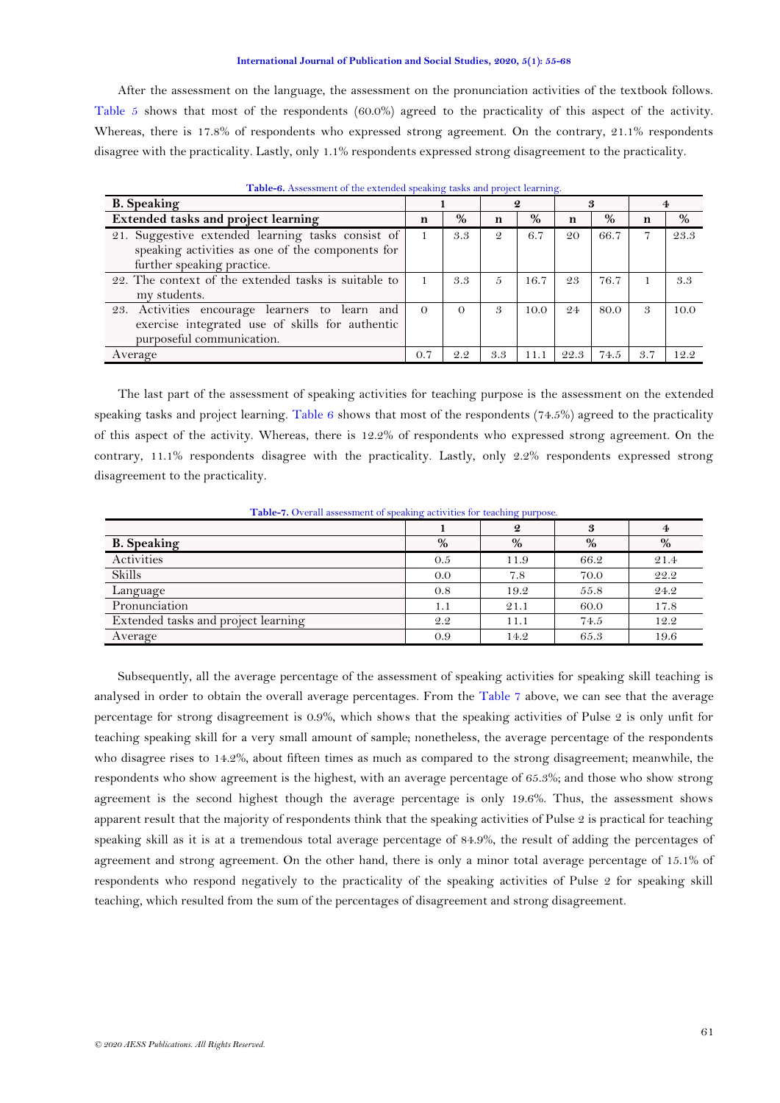After the assessment on the language, the assessment on the pronunciation activities of the textbook follows. [Table 5](#page-5-2) shows that most of the respondents (60.0%) agreed to the practicality of this aspect of the activity. Whereas, there is 17.8% of respondents who expressed strong agreement. On the contrary, 21.1% respondents disagree with the practicality. Lastly, only 1.1% respondents expressed strong disagreement to the practicality.

<span id="page-6-0"></span>

| <b>Tuble 0.</b> Hobelshirth of the extended speaking tasks and project rearning. |          |          |     |      |      |      |     |      |
|----------------------------------------------------------------------------------|----------|----------|-----|------|------|------|-----|------|
| <b>B.</b> Speaking                                                               |          |          | 2   |      | 3    |      |     |      |
| <b>Extended tasks and project learning</b>                                       | n        | %        | n   | %    | n    | $\%$ | n   | %    |
| 21. Suggestive extended learning tasks consist of                                |          | 3.3      | 9   | 6.7  | 20   | 66.7 | 7   | 23.3 |
| speaking activities as one of the components for                                 |          |          |     |      |      |      |     |      |
| further speaking practice.                                                       |          |          |     |      |      |      |     |      |
| 22. The context of the extended tasks is suitable to                             |          | 3.3      | 5   | 16.7 | 23   | 76.7 |     | 3.3  |
| my students.                                                                     |          |          |     |      |      |      |     |      |
| 23. Activities encourage learners to learn and                                   | $\Omega$ | $\Omega$ | 3   | 10.0 | 24   | 80.0 | 3   | 10.0 |
| exercise integrated use of skills for authentic                                  |          |          |     |      |      |      |     |      |
| purposeful communication.                                                        |          |          |     |      |      |      |     |      |
| Average                                                                          | 0.7      | 2.2      | 3.3 | 11.1 | 22.3 | 74.5 | 3.7 | 12.2 |

**Table-6.** Assessment of the extended speaking tasks and project learning.

The last part of the assessment of speaking activities for teaching purpose is the assessment on the extended speaking tasks and project learning. [Table 6](#page-6-0) shows that most of the respondents  $(74.5%)$  agreed to the practicality of this aspect of the activity. Whereas, there is 12.2% of respondents who expressed strong agreement. On the contrary, 11.1% respondents disagree with the practicality. Lastly, only 2.2% respondents expressed strong disagreement to the practicality.

**Table-7.** Overall assessment of speaking activities for teaching purpose.

<span id="page-6-1"></span>

|                                     |      | 2    | 3    | $\overline{4}$ |
|-------------------------------------|------|------|------|----------------|
| <b>B.</b> Speaking                  | $\%$ | $\%$ | %    | %              |
| Activities                          | 0.5  | 11.9 | 66.2 | 21.4           |
| Skills                              | 0.0  | 7.8  | 70.0 | 22.2           |
| Language                            | 0.8  | 19.2 | 55.8 | 24.2           |
| Pronunciation                       | 1.1  | 21.1 | 60.0 | 17.8           |
| Extended tasks and project learning | 2.2  | 11.1 | 74.5 | 12.2           |
| Average                             | 0.9  | 14.2 | 65.3 | 19.6           |

<span id="page-6-2"></span>Subsequently, all the average percentage of the assessment of speaking activities for speaking skill teaching is analysed in order to obtain the overall average percentages. From the [Table 7](#page-6-1) above, we can see that the average percentage for strong disagreement is 0.9%, which shows that the speaking activities of Pulse 2 is only unfit for teaching speaking skill for a very small amount of sample; nonetheless, the average percentage of the respondents who disagree rises to 14.2%, about fifteen times as much as compared to the strong disagreement; meanwhile, the respondents who show agreement is the highest, with an average percentage of 65.3%; and those who show strong agreement is the second highest though the average percentage is only 19.6%. Thus, the assessment shows apparent result that the majority of respondents think that the speaking activities of Pulse 2 is practical for teaching speaking skill as it is at a tremendous total average percentage of 84.9%, the result of adding the percentages of agreement and strong agreement. On the other hand, there is only a minor total average percentage of 15.1% of respondents who respond negatively to the practicality of the speaking activities of Pulse 2 for speaking skill teaching, which resulted from the sum of the percentages of disagreement and strong disagreement.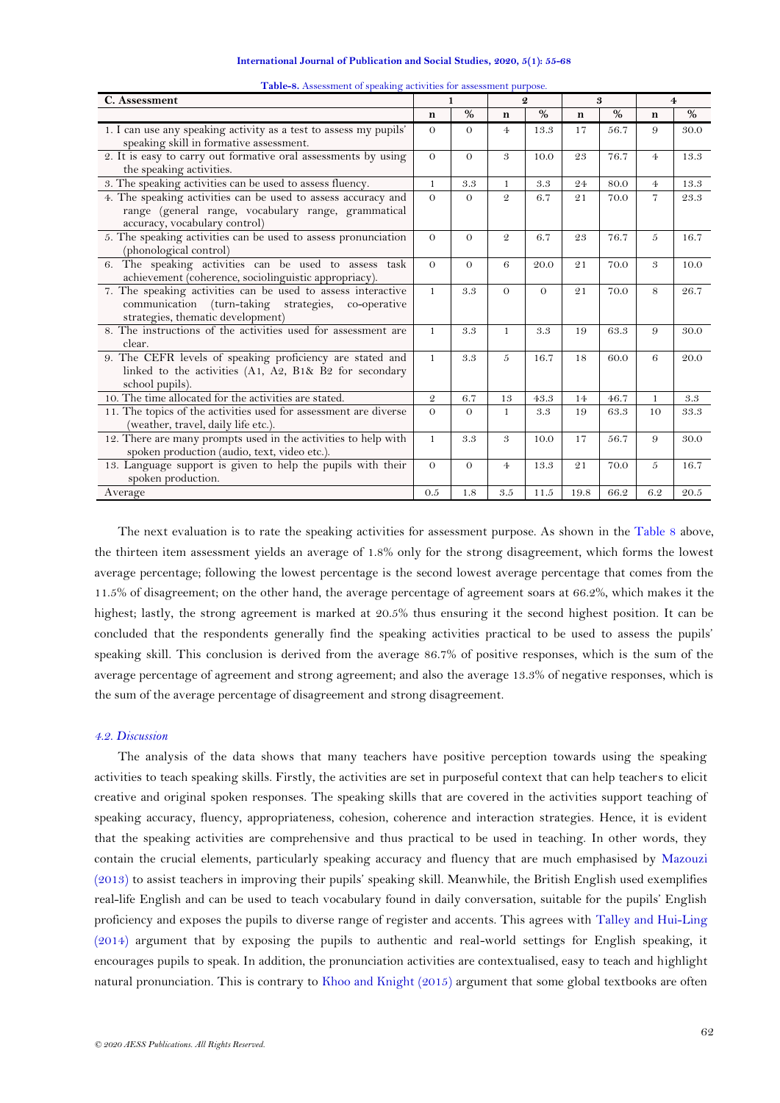| International Journal of Publication and Social Studies, 2020, 5(1): 55-68 |  |  |  |
|----------------------------------------------------------------------------|--|--|--|
|----------------------------------------------------------------------------|--|--|--|

| C. Assessment                                                                                                                                            |               | 1             |                 | $\boldsymbol{Q}$ |             | 3             |                | 4             |
|----------------------------------------------------------------------------------------------------------------------------------------------------------|---------------|---------------|-----------------|------------------|-------------|---------------|----------------|---------------|
|                                                                                                                                                          | n             | $\frac{0}{0}$ | $\mathbf n$     | $\frac{0}{0}$    | $\mathbf n$ | $\frac{0}{0}$ | $\mathbf n$    | $\frac{0}{0}$ |
| 1. I can use any speaking activity as a test to assess my pupils'<br>speaking skill in formative assessment.                                             | $\Omega$      | $\Omega$      | $\overline{4}$  | 13.3             | 17          | 56.7          | 9              | 30.0          |
| 2. It is easy to carry out formative oral assessments by using<br>the speaking activities.                                                               | $\Omega$      | $\Omega$      | 3               | 10.0             | 23          | 76.7          | 4 <sub>1</sub> | 13.3          |
| 3. The speaking activities can be used to assess fluency.                                                                                                | $\mathbf{1}$  | 3.3           | $\mathbf{1}$    | 3.3              | 24          | 80.0          | $\overline{4}$ | 13.3          |
| 4. The speaking activities can be used to assess accuracy and<br>range (general range, vocabulary range, grammatical<br>accuracy, vocabulary control)    | $\Omega$      | $\Omega$      | $\mathcal{Q}_1$ | 6.7              | 21          | 70.0          | $\overline{7}$ | 23.3          |
| 5. The speaking activities can be used to assess pronunciation<br>(phonological control)                                                                 | $\Omega$      | $\Omega$      | $\mathcal{Q}$   | 6.7              | 23          | 76.7          | 5              | 16.7          |
| 6. The speaking activities can be used to assess task<br>achievement (coherence, sociolinguistic appropriacy).                                           | $\Omega$      | $\Omega$      | 6               | 20.0             | 21          | 70.0          | 3              | 10.0          |
| 7. The speaking activities can be used to assess interactive<br>communication (turn-taking strategies, co-operative<br>strategies, thematic development) | $\mathbf{1}$  | 3.3           | $\Omega$        | $\Omega$         | 21          | 70.0          | 8              | 26.7          |
| 8. The instructions of the activities used for assessment are<br>clear.                                                                                  | $\mathbf{1}$  | 3.3           | $\mathbf{1}$    | 3.3              | 19          | 63.3          | 9              | 30.0          |
| 9. The CEFR levels of speaking proficiency are stated and<br>linked to the activities $(A1, A2, B1\& B2$ for secondary<br>school pupils).                |               | 3.3           | 5               | 16.7             | 18          | 60.0          | 6              | 20.0          |
| 10. The time allocated for the activities are stated.                                                                                                    | $\mathcal{Q}$ | 6.7           | 13              | 43.3             | 14          | 46.7          | $\mathbf{1}$   | 3.3           |
| 11. The topics of the activities used for assessment are diverse<br>(weather, travel, daily life etc.).                                                  |               | $\Omega$      | 1               | 3.3              | 19          | 63.3          | 10             | 33.3          |
| 12. There are many prompts used in the activities to help with<br>spoken production (audio, text, video etc.).                                           | $\mathbf{1}$  | 3.3           | 3               | 10.0             | 17          | 56.7          | 9              | 30.0          |
| 13. Language support is given to help the pupils with their<br>spoken production.                                                                        | $\Omega$      | $\Omega$      | $\overline{4}$  | 13.3             | 21          | 70.0          | 5              | 16.7          |
| Average                                                                                                                                                  | 0.5           | 1.8           | 3.5             | 11.5             | 19.8        | 66.2          | 6.2            | 20.5          |

**Table-8.** Assessment of speaking activities for assessment purpose.

The next evaluation is to rate the speaking activities for assessment purpose. As shown in the [Table 8](#page-6-2) above, the thirteen item assessment yields an average of 1.8% only for the strong disagreement, which forms the lowest average percentage; following the lowest percentage is the second lowest average percentage that comes from the 11.5% of disagreement; on the other hand, the average percentage of agreement soars at 66.2%, which makes it the highest; lastly, the strong agreement is marked at 20.5% thus ensuring it the second highest position. It can be concluded that the respondents generally find the speaking activities practical to be used to assess the pupils" speaking skill. This conclusion is derived from the average 86.7% of positive responses, which is the sum of the average percentage of agreement and strong agreement; and also the average 13.3% of negative responses, which is the sum of the average percentage of disagreement and strong disagreement.

### *4.2. Discussion*

The analysis of the data shows that many teachers have positive perception towards using the speaking activities to teach speaking skills. Firstly, the activities are set in purposeful context that can help teachers to elicit creative and original spoken responses. The speaking skills that are covered in the activities support teaching of speaking accuracy, fluency, appropriateness, cohesion, coherence and interaction strategies. Hence, it is evident that the speaking activities are comprehensive and thus practical to be used in teaching. In other words, they contain the crucial elements, particularly speaking accuracy and fluency that are much emphasised by [Mazouzi](#page-9-11)  [\(2013\)](#page-9-11) to assist teachers in improving their pupils" speaking skill. Meanwhile, the British English used exemplifies real-life English and can be used to teach vocabulary found in daily conversation, suitable for the pupils" English proficiency and exposes the pupils to diverse range of register and accents. This agrees with [Talley and Hui-Ling](#page-9-10)  [\(2014\)](#page-9-10) argument that by exposing the pupils to authentic and real-world settings for English speaking, it encourages pupils to speak. In addition, the pronunciation activities are contextualised, easy to teach and highlight natural pronunciation. This is contrary to [Khoo and Knight \(2015\)](#page-9-6) argument that some global textbooks are often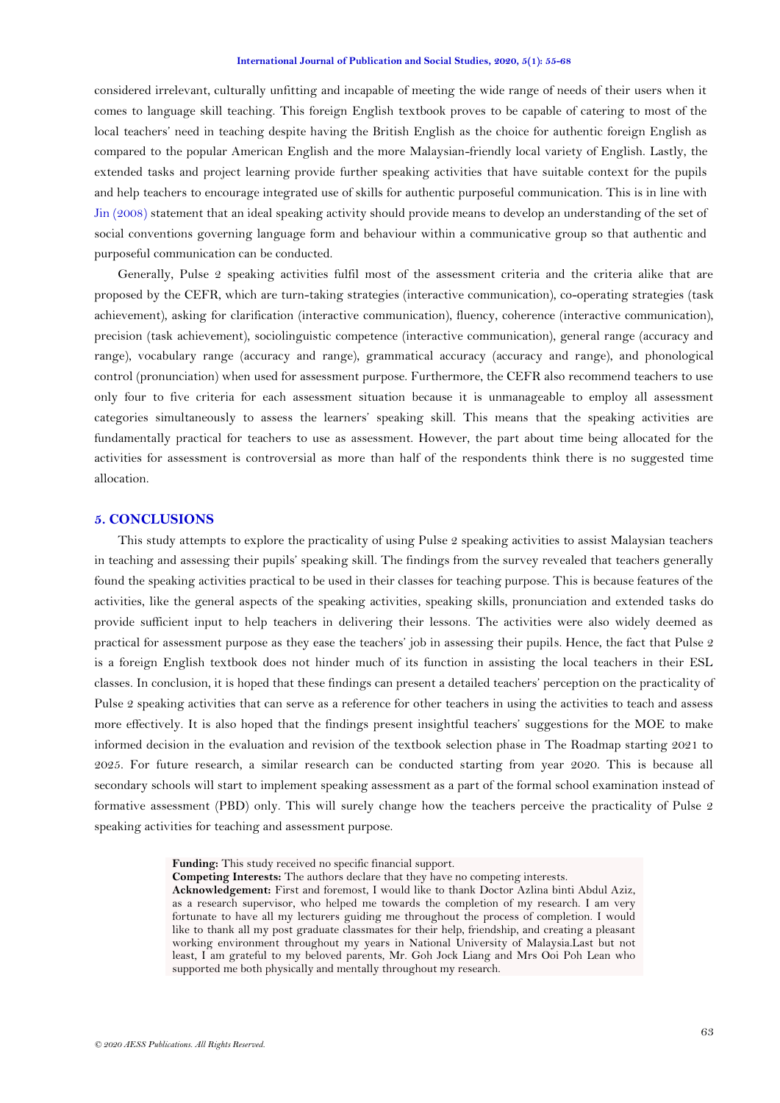considered irrelevant, culturally unfitting and incapable of meeting the wide range of needs of their users when it comes to language skill teaching. This foreign English textbook proves to be capable of catering to most of the local teachers' need in teaching despite having the British English as the choice for authentic foreign English as compared to the popular American English and the more Malaysian-friendly local variety of English. Lastly, the extended tasks and project learning provide further speaking activities that have suitable context for the pupils and help teachers to encourage integrated use of skills for authentic purposeful communication. This is in line with [Jin \(2008\)](#page-9-8) statement that an ideal speaking activity should provide means to develop an understanding of the set of social conventions governing language form and behaviour within a communicative group so that authentic and purposeful communication can be conducted.

Generally, Pulse 2 speaking activities fulfil most of the assessment criteria and the criteria alike that are proposed by the CEFR, which are turn-taking strategies (interactive communication), co-operating strategies (task achievement), asking for clarification (interactive communication), fluency, coherence (interactive communication), precision (task achievement), sociolinguistic competence (interactive communication), general range (accuracy and range), vocabulary range (accuracy and range), grammatical accuracy (accuracy and range), and phonological control (pronunciation) when used for assessment purpose. Furthermore, the CEFR also recommend teachers to use only four to five criteria for each assessment situation because it is unmanageable to employ all assessment categories simultaneously to assess the learners" speaking skill. This means that the speaking activities are fundamentally practical for teachers to use as assessment. However, the part about time being allocated for the activities for assessment is controversial as more than half of the respondents think there is no suggested time allocation.

### **5. CONCLUSIONS**

This study attempts to explore the practicality of using Pulse 2 speaking activities to assist Malaysian teachers in teaching and assessing their pupils" speaking skill. The findings from the survey revealed that teachers generally found the speaking activities practical to be used in their classes for teaching purpose. This is because features of the activities, like the general aspects of the speaking activities, speaking skills, pronunciation and extended tasks do provide sufficient input to help teachers in delivering their lessons. The activities were also widely deemed as practical for assessment purpose as they ease the teachers" job in assessing their pupils. Hence, the fact that Pulse 2 is a foreign English textbook does not hinder much of its function in assisting the local teachers in their ESL classes. In conclusion, it is hoped that these findings can present a detailed teachers" perception on the practicality of Pulse 2 speaking activities that can serve as a reference for other teachers in using the activities to teach and assess more effectively. It is also hoped that the findings present insightful teachers" suggestions for the MOE to make informed decision in the evaluation and revision of the textbook selection phase in The Roadmap starting 2021 to 2025. For future research, a similar research can be conducted starting from year 2020. This is because all secondary schools will start to implement speaking assessment as a part of the formal school examination instead of formative assessment (PBD) only. This will surely change how the teachers perceive the practicality of Pulse 2 speaking activities for teaching and assessment purpose.

**Funding:** This study received no specific financial support.

**Competing Interests:** The authors declare that they have no competing interests.

**Acknowledgement:** First and foremost, I would like to thank Doctor Azlina binti Abdul Aziz, as a research supervisor, who helped me towards the completion of my research. I am very fortunate to have all my lecturers guiding me throughout the process of completion. I would like to thank all my post graduate classmates for their help, friendship, and creating a pleasant working environment throughout my years in National University of Malaysia.Last but not least, I am grateful to my beloved parents, Mr. Goh Jock Liang and Mrs Ooi Poh Lean who supported me both physically and mentally throughout my research.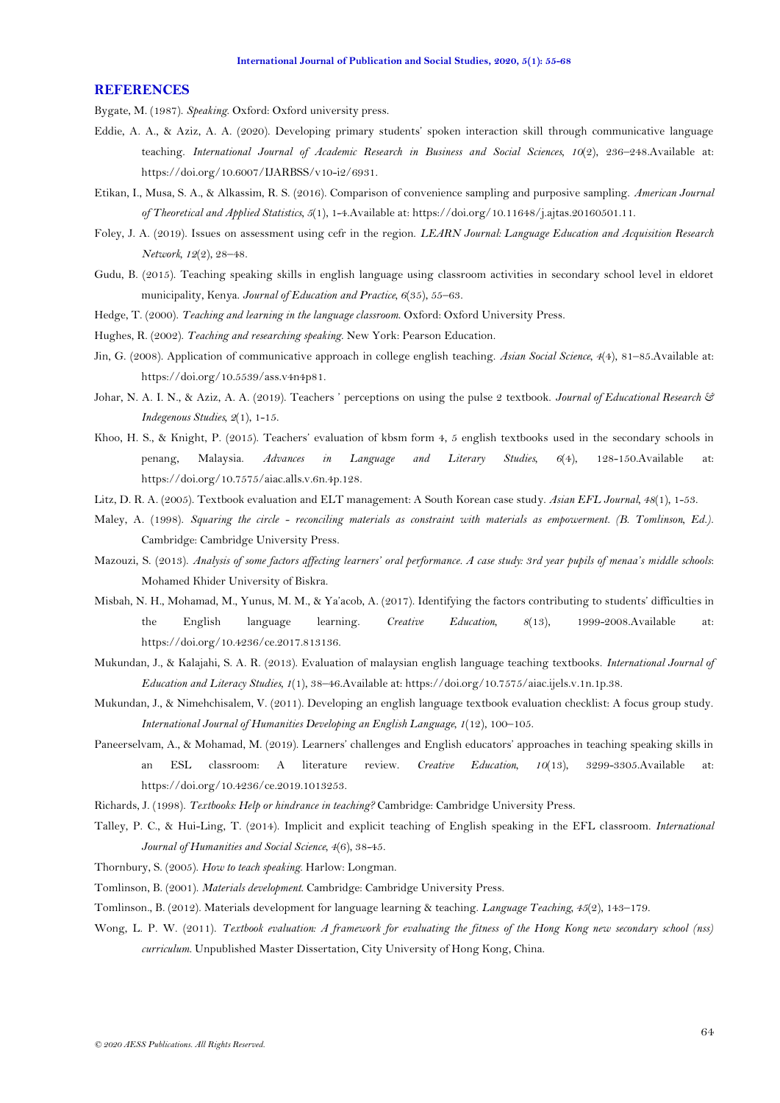### **REFERENCES**

<span id="page-9-7"></span>Bygate, M. (1987). *Speaking*. Oxford: Oxford university press.

- <span id="page-9-3"></span>Eddie, A. A., & Aziz, A. A. (2020). Developing primary students" spoken interaction skill through communicative language teaching. *International Journal of Academic Research in Business and Social Sciences, 10*(2), 236–248.Available at: https://doi.org/10.6007/IJARBSS/v10-i2/6931.
- <span id="page-9-19"></span>Etikan, I., Musa, S. A., & Alkassim, R. S. (2016). Comparison of convenience sampling and purposive sampling. *American Journal of Theoretical and Applied Statistics, 5*(1), 1-4.Available at: https://doi.org/10.11648/j.ajtas.20160501.11.
- <span id="page-9-4"></span>Foley, J. A. (2019). Issues on assessment using cefr in the region. *LEARN Journal: Language Education and Acquisition Research Network, 12*(2), 28–48.
- <span id="page-9-9"></span>Gudu, B. (2015). Teaching speaking skills in english language using classroom activities in secondary school level in eldoret municipality, Kenya. *Journal of Education and Practice, 6*(35), 55–63.
- <span id="page-9-13"></span>Hedge, T. (2000). *Teaching and learning in the language classroom*. Oxford: Oxford University Press.
- <span id="page-9-12"></span>Hughes, R. (2002). *Teaching and researching speaking*. New York: Pearson Education.
- <span id="page-9-8"></span>Jin, G. (2008). Application of communicative approach in college english teaching. *Asian Social Science, 4*(4), 81–85.Available at: https://doi.org/10.5539/ass.v4n4p81.
- <span id="page-9-0"></span>Johar, N. A. I. N., & Aziz, A. A. (2019). Teachers " perceptions on using the pulse 2 textbook. *Journal of Educational Research & Indegenous Studies, 2*(1), 1-15.
- <span id="page-9-6"></span>Khoo, H. S., & Knight, P. (2015). Teachers" evaluation of kbsm form 4, 5 english textbooks used in the secondary schools in penang, Malaysia. *Advances in Language and Literary Studies, 6*(4), 128-150.Available at: https://doi.org/10.7575/aiac.alls.v.6n.4p.128.
- <span id="page-9-21"></span>Litz, D. R. A. (2005). Textbook evaluation and ELT management: A South Korean case study. *Asian EFL Journal, 48*(1), 1-53.
- <span id="page-9-17"></span>Maley, A. (1998). *Squaring the circle - reconciling materials as constraint with materials as empowerment. (B. Tomlinson, Ed.)*. Cambridge: Cambridge University Press.
- <span id="page-9-11"></span>Mazouzi, S. (2013). *Analysis of some factors affecting learners' oral performance. A case study: 3rd year pupils of menaa's middle schools*: Mohamed Khider University of Biskra.
- <span id="page-9-1"></span>Misbah, N. H., Mohamad, M., Yunus, M. M., & Ya"acob, A. (2017). Identifying the factors contributing to students" difficulties in the English language learning. *Creative Education, 8*(13), 1999-2008.Available at: https://doi.org/10.4236/ce.2017.813136.
- <span id="page-9-5"></span>Mukundan, J., & Kalajahi, S. A. R. (2013). Evaluation of malaysian english language teaching textbooks. *International Journal of Education and Literacy Studies, 1*(1), 38–46.Available at: https://doi.org/10.7575/aiac.ijels.v.1n.1p.38.
- <span id="page-9-20"></span>Mukundan, J., & Nimehchisalem, V. (2011). Developing an english language textbook evaluation checklist: A focus group study. *International Journal of Humanities Developing an English Language, 1*(12), 100–105.
- <span id="page-9-2"></span>Paneerselvam, A., & Mohamad, M. (2019). Learners" challenges and English educators" approaches in teaching speaking skills in an ESL classroom: A literature review. *Creative Education, 10*(13), 3299-3305.Available at: https://doi.org/10.4236/ce.2019.1013253.

<span id="page-9-18"></span>Richards, J. (1998). *Textbooks: Help or hindrance in teaching?* Cambridge: Cambridge University Press.

- <span id="page-9-10"></span>Talley, P. C., & Hui-Ling, T. (2014). Implicit and explicit teaching of English speaking in the EFL classroom. *International Journal of Humanities and Social Science, 4*(6), 38-45.
- <span id="page-9-14"></span>Thornbury, S. (2005). *How to teach speaking*. Harlow: Longman.
- <span id="page-9-15"></span>Tomlinson, B. (2001). *Materials development*. Cambridge: Cambridge University Press.
- <span id="page-9-16"></span>Tomlinson., B. (2012). Materials development for language learning & teaching. *Language Teaching, 45*(2), 143–179.
- <span id="page-9-22"></span>Wong, L. P. W. (2011). *Textbook evaluation: A framework for evaluating the fitness of the Hong Kong new secondary school (nss) curriculum.* Unpublished Master Dissertation, City University of Hong Kong, China.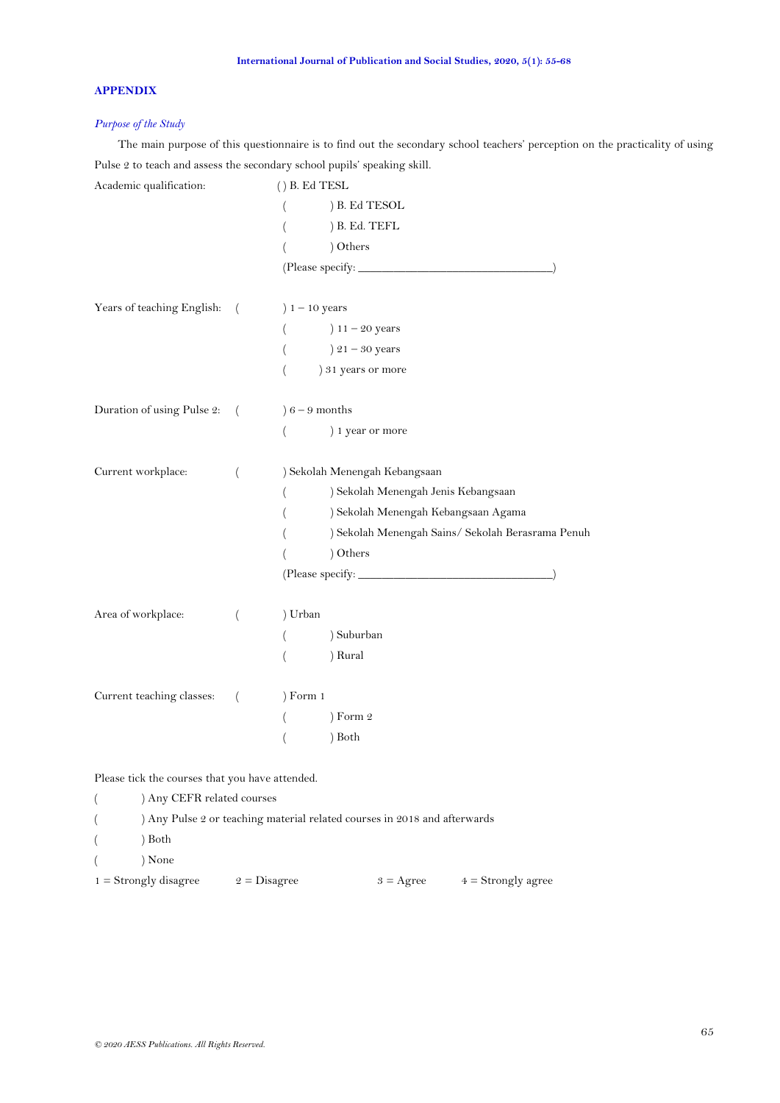# **APPENDIX**

## *Purpose of the Study*

The main purpose of this questionnaire is to find out the secondary school teachers' perception on the practicality of using Pulse 2 to teach and assess the secondary school pupils' speaking skill.

| Academic qualification:                         |          | $()$ B. Ed TESL                                       |
|-------------------------------------------------|----------|-------------------------------------------------------|
|                                                 |          | ) B. Ed TESOL                                         |
|                                                 |          | ) B. Ed. TEFL<br>$\left($                             |
|                                                 |          | ) Others<br>$\overline{ }$                            |
|                                                 |          |                                                       |
| Years of teaching English:                      | $\left($ | $1 - 10$ years                                        |
|                                                 |          | $11 - 20$ years<br>$\left($                           |
|                                                 |          | $21 - 30$ years<br>$\left($                           |
|                                                 |          | ) 31 years or more                                    |
| Duration of using Pulse 2:                      | $\left($ | $6 - 9$ months                                        |
|                                                 |          | ) 1 year or more<br>$\left($                          |
| Current workplace:                              | $\left($ | ) Sekolah Menengah Kebangsaan                         |
|                                                 |          | ) Sekolah Menengah Jenis Kebangsaan<br>$\overline{ }$ |
|                                                 |          | ) Sekolah Menengah Kebangsaan Agama<br>$\overline{ }$ |
|                                                 |          | ) Sekolah Menengah Sains/ Sekolah Berasrama Penuh     |
|                                                 |          | ) Others                                              |
|                                                 |          |                                                       |
| Area of workplace:                              | $\left($ | ) Urban                                               |
|                                                 |          | ) Suburban<br>$\left($                                |
|                                                 |          | ) Rural<br>$\left($                                   |
| Current teaching classes:                       | $\left($ | Form 1                                                |
|                                                 |          | ) Form 2<br>$\left($                                  |
|                                                 |          | ) Both<br>$\left($                                    |
| Please tick the courses that you have attended. |          |                                                       |

( ) Any CEFR related courses ( ) Any Pulse 2 or teaching material related courses in 2018 and afterwards  $($  ) Both ( ) None 1 = Strongly disagree  $2 = Disagree$   $3 = Agee$   $4 = Strongly agree$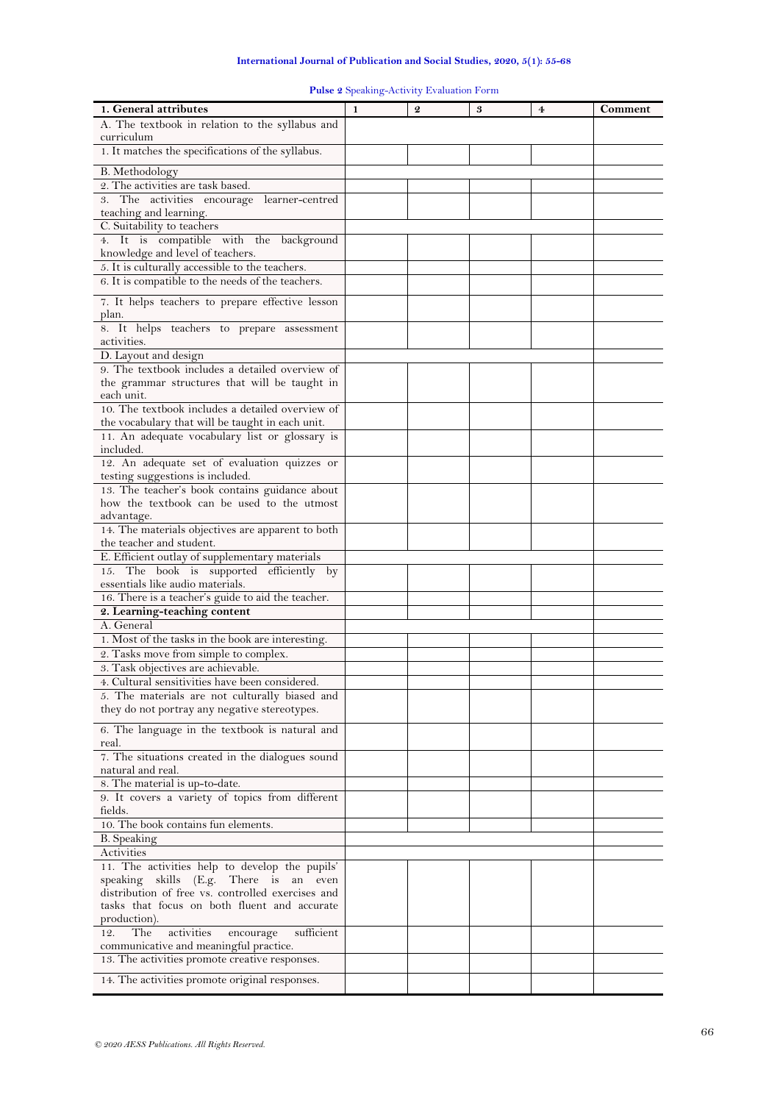| 1. General attributes                                                                       | 1 | $\boldsymbol{Q}$ | 3 | 4 | Comment |
|---------------------------------------------------------------------------------------------|---|------------------|---|---|---------|
| A. The textbook in relation to the syllabus and                                             |   |                  |   |   |         |
| curriculum                                                                                  |   |                  |   |   |         |
| 1. It matches the specifications of the syllabus.                                           |   |                  |   |   |         |
|                                                                                             |   |                  |   |   |         |
| B. Methodology                                                                              |   |                  |   |   |         |
| 2. The activities are task based.                                                           |   |                  |   |   |         |
| 3. The activities encourage learner-centred                                                 |   |                  |   |   |         |
| teaching and learning.                                                                      |   |                  |   |   |         |
| C. Suitability to teachers                                                                  |   |                  |   |   |         |
| 4. It is compatible with the background                                                     |   |                  |   |   |         |
| knowledge and level of teachers.                                                            |   |                  |   |   |         |
| 5. It is culturally accessible to the teachers.                                             |   |                  |   |   |         |
| 6. It is compatible to the needs of the teachers.                                           |   |                  |   |   |         |
|                                                                                             |   |                  |   |   |         |
| 7. It helps teachers to prepare effective lesson                                            |   |                  |   |   |         |
| plan.                                                                                       |   |                  |   |   |         |
| 8. It helps teachers to prepare assessment                                                  |   |                  |   |   |         |
| activities.                                                                                 |   |                  |   |   |         |
| D. Layout and design                                                                        |   |                  |   |   |         |
| 9. The textbook includes a detailed overview of                                             |   |                  |   |   |         |
| the grammar structures that will be taught in                                               |   |                  |   |   |         |
| each unit.                                                                                  |   |                  |   |   |         |
| 10. The textbook includes a detailed overview of                                            |   |                  |   |   |         |
|                                                                                             |   |                  |   |   |         |
| the vocabulary that will be taught in each unit.                                            |   |                  |   |   |         |
| 11. An adequate vocabulary list or glossary is                                              |   |                  |   |   |         |
| included.                                                                                   |   |                  |   |   |         |
| 12. An adequate set of evaluation quizzes or                                                |   |                  |   |   |         |
| testing suggestions is included.                                                            |   |                  |   |   |         |
| 13. The teacher's book contains guidance about                                              |   |                  |   |   |         |
| how the textbook can be used to the utmost                                                  |   |                  |   |   |         |
| advantage.                                                                                  |   |                  |   |   |         |
| 14. The materials objectives are apparent to both                                           |   |                  |   |   |         |
| the teacher and student.                                                                    |   |                  |   |   |         |
| E. Efficient outlay of supplementary materials                                              |   |                  |   |   |         |
| The book is supported efficiently by<br>15.                                                 |   |                  |   |   |         |
| essentials like audio materials.                                                            |   |                  |   |   |         |
| 16. There is a teacher's guide to aid the teacher.                                          |   |                  |   |   |         |
| 2. Learning-teaching content                                                                |   |                  |   |   |         |
| A. General                                                                                  |   |                  |   |   |         |
| 1. Most of the tasks in the book are interesting.                                           |   |                  |   |   |         |
|                                                                                             |   |                  |   |   |         |
| 2. Tasks move from simple to complex.                                                       |   |                  |   |   |         |
| 3. Task objectives are achievable.                                                          |   |                  |   |   |         |
| 4. Cultural sensitivities have been considered.                                             |   |                  |   |   |         |
| 5. The materials are not culturally biased and                                              |   |                  |   |   |         |
| they do not portray any negative stereotypes.                                               |   |                  |   |   |         |
|                                                                                             |   |                  |   |   |         |
| 6. The language in the textbook is natural and                                              |   |                  |   |   |         |
| real.                                                                                       |   |                  |   |   |         |
| 7. The situations created in the dialogues sound                                            |   |                  |   |   |         |
| natural and real.                                                                           |   |                  |   |   |         |
| 8. The material is up-to-date.                                                              |   |                  |   |   |         |
| 9. It covers a variety of topics from different                                             |   |                  |   |   |         |
| fields.                                                                                     |   |                  |   |   |         |
| 10. The book contains fun elements.                                                         |   |                  |   |   |         |
| <b>B.</b> Speaking                                                                          |   |                  |   |   |         |
| Activities                                                                                  |   |                  |   |   |         |
| 11. The activities help to develop the pupils'                                              |   |                  |   |   |         |
|                                                                                             |   |                  |   |   |         |
| speaking skills (E.g. There is an even<br>distribution of free vs. controlled exercises and |   |                  |   |   |         |
|                                                                                             |   |                  |   |   |         |
| tasks that focus on both fluent and accurate                                                |   |                  |   |   |         |
| production).                                                                                |   |                  |   |   |         |
| The<br>activities<br>sufficient<br>12.<br>encourage                                         |   |                  |   |   |         |
| communicative and meaningful practice.                                                      |   |                  |   |   |         |
| 13. The activities promote creative responses.                                              |   |                  |   |   |         |

# **Pulse 2** Speaking-Activity Evaluation Form

14. The activities promote original responses.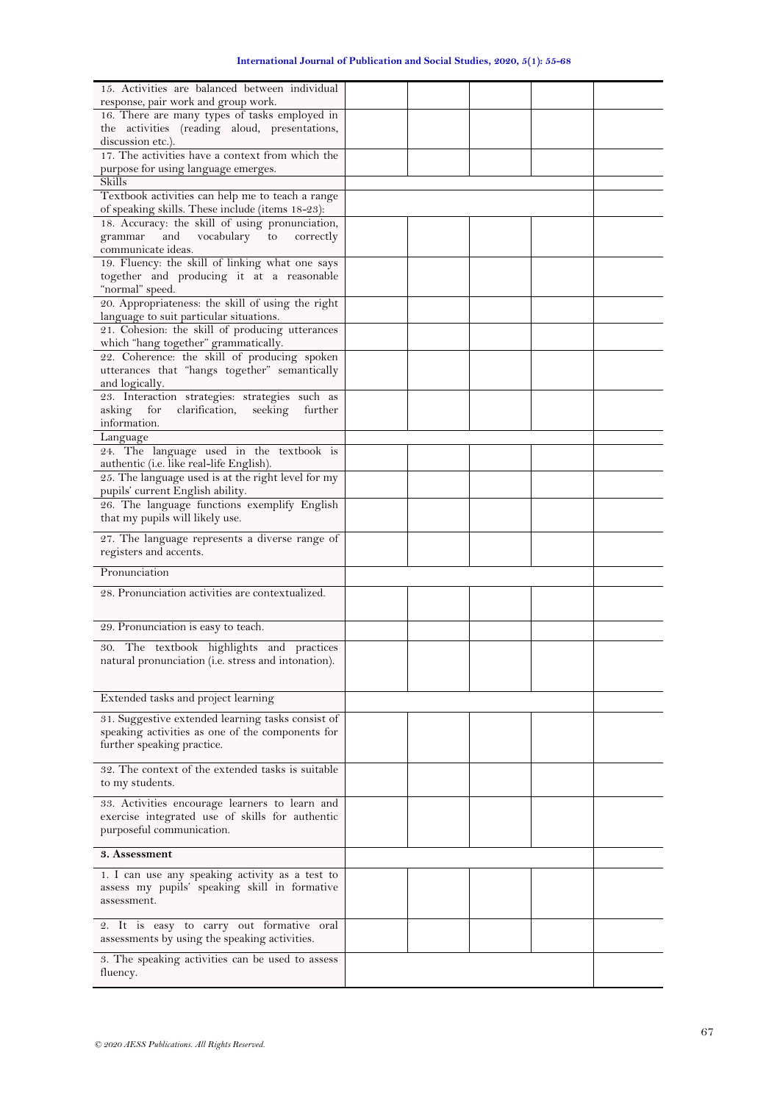| 15. Activities are balanced between individual<br>response, pair work and group work.<br>16. There are many types of tasks employed in<br>the activities (reading aloud, presentations,<br>discussion etc.).<br>17. The activities have a context from which the<br>purpose for using language emerges.<br>Skills<br>Textbook activities can help me to teach a range<br>of speaking skills. These include (items 18-23):<br>18. Accuracy: the skill of using pronunciation,<br>and<br>vocabulary to<br>grammar<br>correctly<br>communicate ideas.<br>19. Fluency: the skill of linking what one says<br>together and producing it at a reasonable<br>"normal" speed.<br>20. Appropriateness: the skill of using the right<br>language to suit particular situations.<br>21. Cohesion: the skill of producing utterances<br>which "hang together" grammatically.<br>22. Coherence: the skill of producing spoken<br>utterances that "hangs together" semantically<br>and logically.<br>23. Interaction strategies: strategies such as<br>asking<br>for<br>clarification,<br>seeking<br>further<br>information.<br>Language<br>24. The language used in the textbook is<br>authentic (i.e. like real-life English).<br>25. The language used is at the right level for my<br>pupils' current English ability.<br>26. The language functions exemplify English<br>that my pupils will likely use.<br>27. The language represents a diverse range of<br>registers and accents.<br>Pronunciation<br>28. Pronunciation activities are contextualized.<br>29. Pronunciation is easy to teach.<br>30. The textbook highlights and practices<br>natural pronunciation (i.e. stress and intonation).<br>Extended tasks and project learning<br>31. Suggestive extended learning tasks consist of<br>speaking activities as one of the components for<br>further speaking practice.<br>32. The context of the extended tasks is suitable<br>to my students.<br>33. Activities encourage learners to learn and<br>exercise integrated use of skills for authentic<br>purposeful communication.<br>3. Assessment<br>1. I can use any speaking activity as a test to<br>assess my pupils' speaking skill in formative<br>assessment.<br>2. It is easy to carry out formative oral<br>assessments by using the speaking activities.<br>3. The speaking activities can be used to assess |  |
|---------------------------------------------------------------------------------------------------------------------------------------------------------------------------------------------------------------------------------------------------------------------------------------------------------------------------------------------------------------------------------------------------------------------------------------------------------------------------------------------------------------------------------------------------------------------------------------------------------------------------------------------------------------------------------------------------------------------------------------------------------------------------------------------------------------------------------------------------------------------------------------------------------------------------------------------------------------------------------------------------------------------------------------------------------------------------------------------------------------------------------------------------------------------------------------------------------------------------------------------------------------------------------------------------------------------------------------------------------------------------------------------------------------------------------------------------------------------------------------------------------------------------------------------------------------------------------------------------------------------------------------------------------------------------------------------------------------------------------------------------------------------------------------------------------------------------------------------------------------------------------------------------------------------------------------------------------------------------------------------------------------------------------------------------------------------------------------------------------------------------------------------------------------------------------------------------------------------------------------------------------------------------------------------------------------------------------------------------------------------------|--|
|                                                                                                                                                                                                                                                                                                                                                                                                                                                                                                                                                                                                                                                                                                                                                                                                                                                                                                                                                                                                                                                                                                                                                                                                                                                                                                                                                                                                                                                                                                                                                                                                                                                                                                                                                                                                                                                                                                                                                                                                                                                                                                                                                                                                                                                                                                                                                                           |  |
|                                                                                                                                                                                                                                                                                                                                                                                                                                                                                                                                                                                                                                                                                                                                                                                                                                                                                                                                                                                                                                                                                                                                                                                                                                                                                                                                                                                                                                                                                                                                                                                                                                                                                                                                                                                                                                                                                                                                                                                                                                                                                                                                                                                                                                                                                                                                                                           |  |
|                                                                                                                                                                                                                                                                                                                                                                                                                                                                                                                                                                                                                                                                                                                                                                                                                                                                                                                                                                                                                                                                                                                                                                                                                                                                                                                                                                                                                                                                                                                                                                                                                                                                                                                                                                                                                                                                                                                                                                                                                                                                                                                                                                                                                                                                                                                                                                           |  |
|                                                                                                                                                                                                                                                                                                                                                                                                                                                                                                                                                                                                                                                                                                                                                                                                                                                                                                                                                                                                                                                                                                                                                                                                                                                                                                                                                                                                                                                                                                                                                                                                                                                                                                                                                                                                                                                                                                                                                                                                                                                                                                                                                                                                                                                                                                                                                                           |  |
|                                                                                                                                                                                                                                                                                                                                                                                                                                                                                                                                                                                                                                                                                                                                                                                                                                                                                                                                                                                                                                                                                                                                                                                                                                                                                                                                                                                                                                                                                                                                                                                                                                                                                                                                                                                                                                                                                                                                                                                                                                                                                                                                                                                                                                                                                                                                                                           |  |
|                                                                                                                                                                                                                                                                                                                                                                                                                                                                                                                                                                                                                                                                                                                                                                                                                                                                                                                                                                                                                                                                                                                                                                                                                                                                                                                                                                                                                                                                                                                                                                                                                                                                                                                                                                                                                                                                                                                                                                                                                                                                                                                                                                                                                                                                                                                                                                           |  |
|                                                                                                                                                                                                                                                                                                                                                                                                                                                                                                                                                                                                                                                                                                                                                                                                                                                                                                                                                                                                                                                                                                                                                                                                                                                                                                                                                                                                                                                                                                                                                                                                                                                                                                                                                                                                                                                                                                                                                                                                                                                                                                                                                                                                                                                                                                                                                                           |  |
|                                                                                                                                                                                                                                                                                                                                                                                                                                                                                                                                                                                                                                                                                                                                                                                                                                                                                                                                                                                                                                                                                                                                                                                                                                                                                                                                                                                                                                                                                                                                                                                                                                                                                                                                                                                                                                                                                                                                                                                                                                                                                                                                                                                                                                                                                                                                                                           |  |
|                                                                                                                                                                                                                                                                                                                                                                                                                                                                                                                                                                                                                                                                                                                                                                                                                                                                                                                                                                                                                                                                                                                                                                                                                                                                                                                                                                                                                                                                                                                                                                                                                                                                                                                                                                                                                                                                                                                                                                                                                                                                                                                                                                                                                                                                                                                                                                           |  |
|                                                                                                                                                                                                                                                                                                                                                                                                                                                                                                                                                                                                                                                                                                                                                                                                                                                                                                                                                                                                                                                                                                                                                                                                                                                                                                                                                                                                                                                                                                                                                                                                                                                                                                                                                                                                                                                                                                                                                                                                                                                                                                                                                                                                                                                                                                                                                                           |  |
|                                                                                                                                                                                                                                                                                                                                                                                                                                                                                                                                                                                                                                                                                                                                                                                                                                                                                                                                                                                                                                                                                                                                                                                                                                                                                                                                                                                                                                                                                                                                                                                                                                                                                                                                                                                                                                                                                                                                                                                                                                                                                                                                                                                                                                                                                                                                                                           |  |
|                                                                                                                                                                                                                                                                                                                                                                                                                                                                                                                                                                                                                                                                                                                                                                                                                                                                                                                                                                                                                                                                                                                                                                                                                                                                                                                                                                                                                                                                                                                                                                                                                                                                                                                                                                                                                                                                                                                                                                                                                                                                                                                                                                                                                                                                                                                                                                           |  |
|                                                                                                                                                                                                                                                                                                                                                                                                                                                                                                                                                                                                                                                                                                                                                                                                                                                                                                                                                                                                                                                                                                                                                                                                                                                                                                                                                                                                                                                                                                                                                                                                                                                                                                                                                                                                                                                                                                                                                                                                                                                                                                                                                                                                                                                                                                                                                                           |  |
|                                                                                                                                                                                                                                                                                                                                                                                                                                                                                                                                                                                                                                                                                                                                                                                                                                                                                                                                                                                                                                                                                                                                                                                                                                                                                                                                                                                                                                                                                                                                                                                                                                                                                                                                                                                                                                                                                                                                                                                                                                                                                                                                                                                                                                                                                                                                                                           |  |
|                                                                                                                                                                                                                                                                                                                                                                                                                                                                                                                                                                                                                                                                                                                                                                                                                                                                                                                                                                                                                                                                                                                                                                                                                                                                                                                                                                                                                                                                                                                                                                                                                                                                                                                                                                                                                                                                                                                                                                                                                                                                                                                                                                                                                                                                                                                                                                           |  |
|                                                                                                                                                                                                                                                                                                                                                                                                                                                                                                                                                                                                                                                                                                                                                                                                                                                                                                                                                                                                                                                                                                                                                                                                                                                                                                                                                                                                                                                                                                                                                                                                                                                                                                                                                                                                                                                                                                                                                                                                                                                                                                                                                                                                                                                                                                                                                                           |  |
|                                                                                                                                                                                                                                                                                                                                                                                                                                                                                                                                                                                                                                                                                                                                                                                                                                                                                                                                                                                                                                                                                                                                                                                                                                                                                                                                                                                                                                                                                                                                                                                                                                                                                                                                                                                                                                                                                                                                                                                                                                                                                                                                                                                                                                                                                                                                                                           |  |
|                                                                                                                                                                                                                                                                                                                                                                                                                                                                                                                                                                                                                                                                                                                                                                                                                                                                                                                                                                                                                                                                                                                                                                                                                                                                                                                                                                                                                                                                                                                                                                                                                                                                                                                                                                                                                                                                                                                                                                                                                                                                                                                                                                                                                                                                                                                                                                           |  |
|                                                                                                                                                                                                                                                                                                                                                                                                                                                                                                                                                                                                                                                                                                                                                                                                                                                                                                                                                                                                                                                                                                                                                                                                                                                                                                                                                                                                                                                                                                                                                                                                                                                                                                                                                                                                                                                                                                                                                                                                                                                                                                                                                                                                                                                                                                                                                                           |  |
|                                                                                                                                                                                                                                                                                                                                                                                                                                                                                                                                                                                                                                                                                                                                                                                                                                                                                                                                                                                                                                                                                                                                                                                                                                                                                                                                                                                                                                                                                                                                                                                                                                                                                                                                                                                                                                                                                                                                                                                                                                                                                                                                                                                                                                                                                                                                                                           |  |
|                                                                                                                                                                                                                                                                                                                                                                                                                                                                                                                                                                                                                                                                                                                                                                                                                                                                                                                                                                                                                                                                                                                                                                                                                                                                                                                                                                                                                                                                                                                                                                                                                                                                                                                                                                                                                                                                                                                                                                                                                                                                                                                                                                                                                                                                                                                                                                           |  |
|                                                                                                                                                                                                                                                                                                                                                                                                                                                                                                                                                                                                                                                                                                                                                                                                                                                                                                                                                                                                                                                                                                                                                                                                                                                                                                                                                                                                                                                                                                                                                                                                                                                                                                                                                                                                                                                                                                                                                                                                                                                                                                                                                                                                                                                                                                                                                                           |  |
|                                                                                                                                                                                                                                                                                                                                                                                                                                                                                                                                                                                                                                                                                                                                                                                                                                                                                                                                                                                                                                                                                                                                                                                                                                                                                                                                                                                                                                                                                                                                                                                                                                                                                                                                                                                                                                                                                                                                                                                                                                                                                                                                                                                                                                                                                                                                                                           |  |
|                                                                                                                                                                                                                                                                                                                                                                                                                                                                                                                                                                                                                                                                                                                                                                                                                                                                                                                                                                                                                                                                                                                                                                                                                                                                                                                                                                                                                                                                                                                                                                                                                                                                                                                                                                                                                                                                                                                                                                                                                                                                                                                                                                                                                                                                                                                                                                           |  |
|                                                                                                                                                                                                                                                                                                                                                                                                                                                                                                                                                                                                                                                                                                                                                                                                                                                                                                                                                                                                                                                                                                                                                                                                                                                                                                                                                                                                                                                                                                                                                                                                                                                                                                                                                                                                                                                                                                                                                                                                                                                                                                                                                                                                                                                                                                                                                                           |  |
|                                                                                                                                                                                                                                                                                                                                                                                                                                                                                                                                                                                                                                                                                                                                                                                                                                                                                                                                                                                                                                                                                                                                                                                                                                                                                                                                                                                                                                                                                                                                                                                                                                                                                                                                                                                                                                                                                                                                                                                                                                                                                                                                                                                                                                                                                                                                                                           |  |
|                                                                                                                                                                                                                                                                                                                                                                                                                                                                                                                                                                                                                                                                                                                                                                                                                                                                                                                                                                                                                                                                                                                                                                                                                                                                                                                                                                                                                                                                                                                                                                                                                                                                                                                                                                                                                                                                                                                                                                                                                                                                                                                                                                                                                                                                                                                                                                           |  |
|                                                                                                                                                                                                                                                                                                                                                                                                                                                                                                                                                                                                                                                                                                                                                                                                                                                                                                                                                                                                                                                                                                                                                                                                                                                                                                                                                                                                                                                                                                                                                                                                                                                                                                                                                                                                                                                                                                                                                                                                                                                                                                                                                                                                                                                                                                                                                                           |  |
|                                                                                                                                                                                                                                                                                                                                                                                                                                                                                                                                                                                                                                                                                                                                                                                                                                                                                                                                                                                                                                                                                                                                                                                                                                                                                                                                                                                                                                                                                                                                                                                                                                                                                                                                                                                                                                                                                                                                                                                                                                                                                                                                                                                                                                                                                                                                                                           |  |
|                                                                                                                                                                                                                                                                                                                                                                                                                                                                                                                                                                                                                                                                                                                                                                                                                                                                                                                                                                                                                                                                                                                                                                                                                                                                                                                                                                                                                                                                                                                                                                                                                                                                                                                                                                                                                                                                                                                                                                                                                                                                                                                                                                                                                                                                                                                                                                           |  |
|                                                                                                                                                                                                                                                                                                                                                                                                                                                                                                                                                                                                                                                                                                                                                                                                                                                                                                                                                                                                                                                                                                                                                                                                                                                                                                                                                                                                                                                                                                                                                                                                                                                                                                                                                                                                                                                                                                                                                                                                                                                                                                                                                                                                                                                                                                                                                                           |  |
|                                                                                                                                                                                                                                                                                                                                                                                                                                                                                                                                                                                                                                                                                                                                                                                                                                                                                                                                                                                                                                                                                                                                                                                                                                                                                                                                                                                                                                                                                                                                                                                                                                                                                                                                                                                                                                                                                                                                                                                                                                                                                                                                                                                                                                                                                                                                                                           |  |
|                                                                                                                                                                                                                                                                                                                                                                                                                                                                                                                                                                                                                                                                                                                                                                                                                                                                                                                                                                                                                                                                                                                                                                                                                                                                                                                                                                                                                                                                                                                                                                                                                                                                                                                                                                                                                                                                                                                                                                                                                                                                                                                                                                                                                                                                                                                                                                           |  |
|                                                                                                                                                                                                                                                                                                                                                                                                                                                                                                                                                                                                                                                                                                                                                                                                                                                                                                                                                                                                                                                                                                                                                                                                                                                                                                                                                                                                                                                                                                                                                                                                                                                                                                                                                                                                                                                                                                                                                                                                                                                                                                                                                                                                                                                                                                                                                                           |  |
|                                                                                                                                                                                                                                                                                                                                                                                                                                                                                                                                                                                                                                                                                                                                                                                                                                                                                                                                                                                                                                                                                                                                                                                                                                                                                                                                                                                                                                                                                                                                                                                                                                                                                                                                                                                                                                                                                                                                                                                                                                                                                                                                                                                                                                                                                                                                                                           |  |
|                                                                                                                                                                                                                                                                                                                                                                                                                                                                                                                                                                                                                                                                                                                                                                                                                                                                                                                                                                                                                                                                                                                                                                                                                                                                                                                                                                                                                                                                                                                                                                                                                                                                                                                                                                                                                                                                                                                                                                                                                                                                                                                                                                                                                                                                                                                                                                           |  |
|                                                                                                                                                                                                                                                                                                                                                                                                                                                                                                                                                                                                                                                                                                                                                                                                                                                                                                                                                                                                                                                                                                                                                                                                                                                                                                                                                                                                                                                                                                                                                                                                                                                                                                                                                                                                                                                                                                                                                                                                                                                                                                                                                                                                                                                                                                                                                                           |  |
|                                                                                                                                                                                                                                                                                                                                                                                                                                                                                                                                                                                                                                                                                                                                                                                                                                                                                                                                                                                                                                                                                                                                                                                                                                                                                                                                                                                                                                                                                                                                                                                                                                                                                                                                                                                                                                                                                                                                                                                                                                                                                                                                                                                                                                                                                                                                                                           |  |
|                                                                                                                                                                                                                                                                                                                                                                                                                                                                                                                                                                                                                                                                                                                                                                                                                                                                                                                                                                                                                                                                                                                                                                                                                                                                                                                                                                                                                                                                                                                                                                                                                                                                                                                                                                                                                                                                                                                                                                                                                                                                                                                                                                                                                                                                                                                                                                           |  |
|                                                                                                                                                                                                                                                                                                                                                                                                                                                                                                                                                                                                                                                                                                                                                                                                                                                                                                                                                                                                                                                                                                                                                                                                                                                                                                                                                                                                                                                                                                                                                                                                                                                                                                                                                                                                                                                                                                                                                                                                                                                                                                                                                                                                                                                                                                                                                                           |  |
|                                                                                                                                                                                                                                                                                                                                                                                                                                                                                                                                                                                                                                                                                                                                                                                                                                                                                                                                                                                                                                                                                                                                                                                                                                                                                                                                                                                                                                                                                                                                                                                                                                                                                                                                                                                                                                                                                                                                                                                                                                                                                                                                                                                                                                                                                                                                                                           |  |
|                                                                                                                                                                                                                                                                                                                                                                                                                                                                                                                                                                                                                                                                                                                                                                                                                                                                                                                                                                                                                                                                                                                                                                                                                                                                                                                                                                                                                                                                                                                                                                                                                                                                                                                                                                                                                                                                                                                                                                                                                                                                                                                                                                                                                                                                                                                                                                           |  |
|                                                                                                                                                                                                                                                                                                                                                                                                                                                                                                                                                                                                                                                                                                                                                                                                                                                                                                                                                                                                                                                                                                                                                                                                                                                                                                                                                                                                                                                                                                                                                                                                                                                                                                                                                                                                                                                                                                                                                                                                                                                                                                                                                                                                                                                                                                                                                                           |  |
|                                                                                                                                                                                                                                                                                                                                                                                                                                                                                                                                                                                                                                                                                                                                                                                                                                                                                                                                                                                                                                                                                                                                                                                                                                                                                                                                                                                                                                                                                                                                                                                                                                                                                                                                                                                                                                                                                                                                                                                                                                                                                                                                                                                                                                                                                                                                                                           |  |
|                                                                                                                                                                                                                                                                                                                                                                                                                                                                                                                                                                                                                                                                                                                                                                                                                                                                                                                                                                                                                                                                                                                                                                                                                                                                                                                                                                                                                                                                                                                                                                                                                                                                                                                                                                                                                                                                                                                                                                                                                                                                                                                                                                                                                                                                                                                                                                           |  |
|                                                                                                                                                                                                                                                                                                                                                                                                                                                                                                                                                                                                                                                                                                                                                                                                                                                                                                                                                                                                                                                                                                                                                                                                                                                                                                                                                                                                                                                                                                                                                                                                                                                                                                                                                                                                                                                                                                                                                                                                                                                                                                                                                                                                                                                                                                                                                                           |  |
|                                                                                                                                                                                                                                                                                                                                                                                                                                                                                                                                                                                                                                                                                                                                                                                                                                                                                                                                                                                                                                                                                                                                                                                                                                                                                                                                                                                                                                                                                                                                                                                                                                                                                                                                                                                                                                                                                                                                                                                                                                                                                                                                                                                                                                                                                                                                                                           |  |
|                                                                                                                                                                                                                                                                                                                                                                                                                                                                                                                                                                                                                                                                                                                                                                                                                                                                                                                                                                                                                                                                                                                                                                                                                                                                                                                                                                                                                                                                                                                                                                                                                                                                                                                                                                                                                                                                                                                                                                                                                                                                                                                                                                                                                                                                                                                                                                           |  |
|                                                                                                                                                                                                                                                                                                                                                                                                                                                                                                                                                                                                                                                                                                                                                                                                                                                                                                                                                                                                                                                                                                                                                                                                                                                                                                                                                                                                                                                                                                                                                                                                                                                                                                                                                                                                                                                                                                                                                                                                                                                                                                                                                                                                                                                                                                                                                                           |  |
| fluency.                                                                                                                                                                                                                                                                                                                                                                                                                                                                                                                                                                                                                                                                                                                                                                                                                                                                                                                                                                                                                                                                                                                                                                                                                                                                                                                                                                                                                                                                                                                                                                                                                                                                                                                                                                                                                                                                                                                                                                                                                                                                                                                                                                                                                                                                                                                                                                  |  |